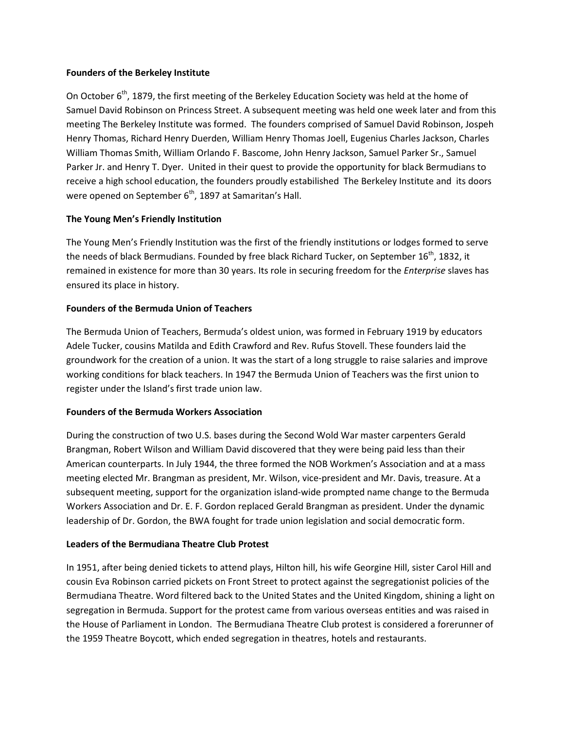## Founders of the Berkeley Institute

On October 6<sup>th</sup>, 1879, the first meeting of the Berkeley Education Society was held at the home of Samuel David Robinson on Princess Street. A subsequent meeting was held one week later and from this meeting The Berkeley Institute was formed. The founders comprised of Samuel David Robinson, Jospeh Henry Thomas, Richard Henry Duerden, William Henry Thomas Joell, Eugenius Charles Jackson, Charles William Thomas Smith, William Orlando F. Bascome, John Henry Jackson, Samuel Parker Sr., Samuel Parker Jr. and Henry T. Dyer. United in their quest to provide the opportunity for black Bermudians to receive a high school education, the founders proudly estabilished The Berkeley Institute and its doors were opened on September  $6<sup>th</sup>$ , 1897 at Samaritan's Hall.

# The Young Men's Friendly Institution

The Young Men's Friendly Institution was the first of the friendly institutions or lodges formed to serve the needs of black Bermudians. Founded by free black Richard Tucker, on September 16<sup>th</sup>, 1832, it remained in existence for more than 30 years. Its role in securing freedom for the *Enterprise* slaves has ensured its place in history.

## Founders of the Bermuda Union of Teachers

The Bermuda Union of Teachers, Bermuda's oldest union, was formed in February 1919 by educators Adele Tucker, cousins Matilda and Edith Crawford and Rev. Rufus Stovell. These founders laid the groundwork for the creation of a union. It was the start of a long struggle to raise salaries and improve working conditions for black teachers. In 1947 the Bermuda Union of Teachers was the first union to register under the Island's first trade union law.

## Founders of the Bermuda Workers Association

During the construction of two U.S. bases during the Second Wold War master carpenters Gerald Brangman, Robert Wilson and William David discovered that they were being paid less than their American counterparts. In July 1944, the three formed the NOB Workmen's Association and at a mass meeting elected Mr. Brangman as president, Mr. Wilson, vice-president and Mr. Davis, treasure. At a subsequent meeting, support for the organization island-wide prompted name change to the Bermuda Workers Association and Dr. E. F. Gordon replaced Gerald Brangman as president. Under the dynamic leadership of Dr. Gordon, the BWA fought for trade union legislation and social democratic form.

# Leaders of the Bermudiana Theatre Club Protest

In 1951, after being denied tickets to attend plays, Hilton hill, his wife Georgine Hill, sister Carol Hill and cousin Eva Robinson carried pickets on Front Street to protect against the segregationist policies of the Bermudiana Theatre. Word filtered back to the United States and the United Kingdom, shining a light on segregation in Bermuda. Support for the protest came from various overseas entities and was raised in the House of Parliament in London. The Bermudiana Theatre Club protest is considered a forerunner of the 1959 Theatre Boycott, which ended segregation in theatres, hotels and restaurants.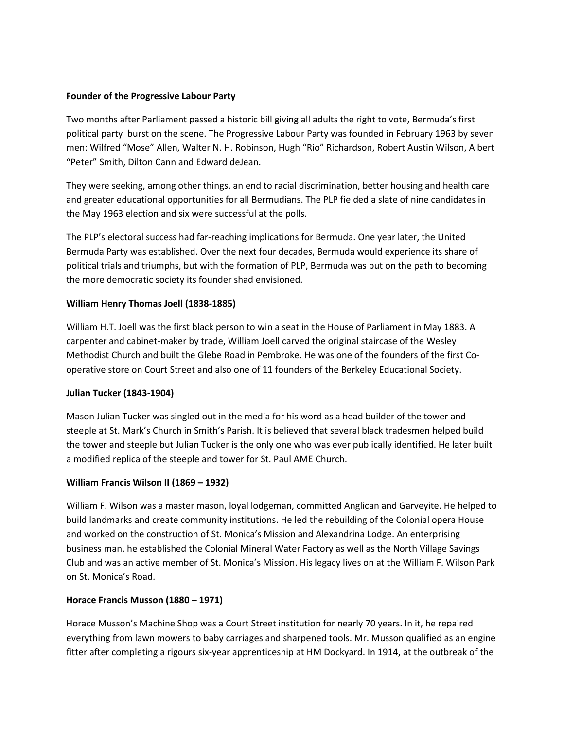## Founder of the Progressive Labour Party

Two months after Parliament passed a historic bill giving all adults the right to vote, Bermuda's first political party burst on the scene. The Progressive Labour Party was founded in February 1963 by seven men: Wilfred "Mose" Allen, Walter N. H. Robinson, Hugh "Rio" Richardson, Robert Austin Wilson, Albert "Peter" Smith, Dilton Cann and Edward deJean.

They were seeking, among other things, an end to racial discrimination, better housing and health care and greater educational opportunities for all Bermudians. The PLP fielded a slate of nine candidates in the May 1963 election and six were successful at the polls.

The PLP's electoral success had far-reaching implications for Bermuda. One year later, the United Bermuda Party was established. Over the next four decades, Bermuda would experience its share of political trials and triumphs, but with the formation of PLP, Bermuda was put on the path to becoming the more democratic society its founder shad envisioned.

# William Henry Thomas Joell (1838-1885)

William H.T. Joell was the first black person to win a seat in the House of Parliament in May 1883. A carpenter and cabinet-maker by trade, William Joell carved the original staircase of the Wesley Methodist Church and built the Glebe Road in Pembroke. He was one of the founders of the first Cooperative store on Court Street and also one of 11 founders of the Berkeley Educational Society.

# Julian Tucker (1843-1904)

Mason Julian Tucker was singled out in the media for his word as a head builder of the tower and steeple at St. Mark's Church in Smith's Parish. It is believed that several black tradesmen helped build the tower and steeple but Julian Tucker is the only one who was ever publically identified. He later built a modified replica of the steeple and tower for St. Paul AME Church.

# William Francis Wilson II (1869 – 1932)

William F. Wilson was a master mason, loyal lodgeman, committed Anglican and Garveyite. He helped to build landmarks and create community institutions. He led the rebuilding of the Colonial opera House and worked on the construction of St. Monica's Mission and Alexandrina Lodge. An enterprising business man, he established the Colonial Mineral Water Factory as well as the North Village Savings Club and was an active member of St. Monica's Mission. His legacy lives on at the William F. Wilson Park on St. Monica's Road.

# Horace Francis Musson (1880 – 1971)

Horace Musson's Machine Shop was a Court Street institution for nearly 70 years. In it, he repaired everything from lawn mowers to baby carriages and sharpened tools. Mr. Musson qualified as an engine fitter after completing a rigours six-year apprenticeship at HM Dockyard. In 1914, at the outbreak of the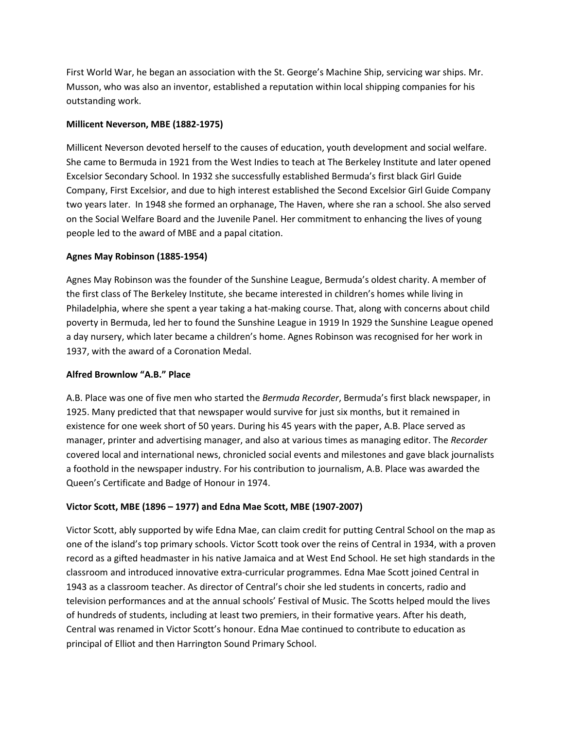First World War, he began an association with the St. George's Machine Ship, servicing war ships. Mr. Musson, who was also an inventor, established a reputation within local shipping companies for his outstanding work.

## Millicent Neverson, MBE (1882-1975)

Millicent Neverson devoted herself to the causes of education, youth development and social welfare. She came to Bermuda in 1921 from the West Indies to teach at The Berkeley Institute and later opened Excelsior Secondary School. In 1932 she successfully established Bermuda's first black Girl Guide Company, First Excelsior, and due to high interest established the Second Excelsior Girl Guide Company two years later. In 1948 she formed an orphanage, The Haven, where she ran a school. She also served on the Social Welfare Board and the Juvenile Panel. Her commitment to enhancing the lives of young people led to the award of MBE and a papal citation.

## Agnes May Robinson (1885-1954)

Agnes May Robinson was the founder of the Sunshine League, Bermuda's oldest charity. A member of the first class of The Berkeley Institute, she became interested in children's homes while living in Philadelphia, where she spent a year taking a hat-making course. That, along with concerns about child poverty in Bermuda, led her to found the Sunshine League in 1919 In 1929 the Sunshine League opened a day nursery, which later became a children's home. Agnes Robinson was recognised for her work in 1937, with the award of a Coronation Medal.

# Alfred Brownlow "A.B." Place

A.B. Place was one of five men who started the *Bermuda Recorder*, Bermuda's first black newspaper, in 1925. Many predicted that that newspaper would survive for just six months, but it remained in existence for one week short of 50 years. During his 45 years with the paper, A.B. Place served as manager, printer and advertising manager, and also at various times as managing editor. The Recorder covered local and international news, chronicled social events and milestones and gave black journalists a foothold in the newspaper industry. For his contribution to journalism, A.B. Place was awarded the Queen's Certificate and Badge of Honour in 1974.

# Victor Scott, MBE (1896 – 1977) and Edna Mae Scott, MBE (1907-2007)

Victor Scott, ably supported by wife Edna Mae, can claim credit for putting Central School on the map as one of the island's top primary schools. Victor Scott took over the reins of Central in 1934, with a proven record as a gifted headmaster in his native Jamaica and at West End School. He set high standards in the classroom and introduced innovative extra-curricular programmes. Edna Mae Scott joined Central in 1943 as a classroom teacher. As director of Central's choir she led students in concerts, radio and television performances and at the annual schools' Festival of Music. The Scotts helped mould the lives of hundreds of students, including at least two premiers, in their formative years. After his death, Central was renamed in Victor Scott's honour. Edna Mae continued to contribute to education as principal of Elliot and then Harrington Sound Primary School.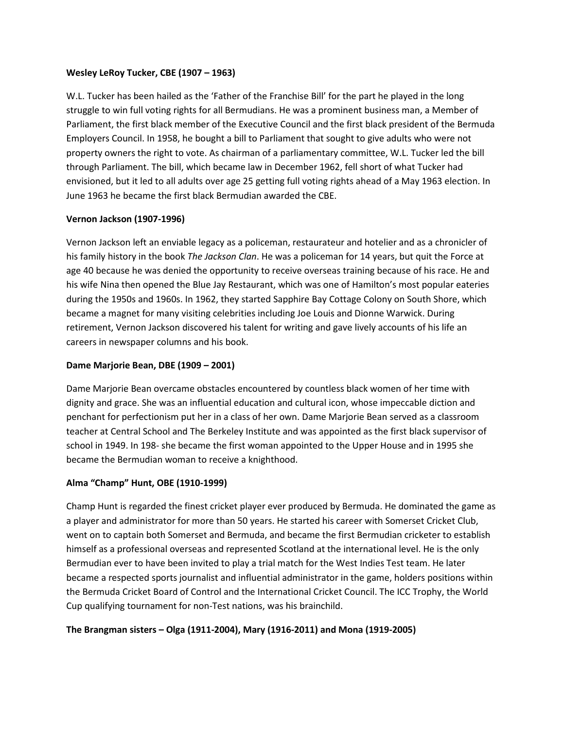## Wesley LeRoy Tucker, CBE (1907 – 1963)

W.L. Tucker has been hailed as the 'Father of the Franchise Bill' for the part he played in the long struggle to win full voting rights for all Bermudians. He was a prominent business man, a Member of Parliament, the first black member of the Executive Council and the first black president of the Bermuda Employers Council. In 1958, he bought a bill to Parliament that sought to give adults who were not property owners the right to vote. As chairman of a parliamentary committee, W.L. Tucker led the bill through Parliament. The bill, which became law in December 1962, fell short of what Tucker had envisioned, but it led to all adults over age 25 getting full voting rights ahead of a May 1963 election. In June 1963 he became the first black Bermudian awarded the CBE.

## Vernon Jackson (1907-1996)

Vernon Jackson left an enviable legacy as a policeman, restaurateur and hotelier and as a chronicler of his family history in the book The Jackson Clan. He was a policeman for 14 years, but quit the Force at age 40 because he was denied the opportunity to receive overseas training because of his race. He and his wife Nina then opened the Blue Jay Restaurant, which was one of Hamilton's most popular eateries during the 1950s and 1960s. In 1962, they started Sapphire Bay Cottage Colony on South Shore, which became a magnet for many visiting celebrities including Joe Louis and Dionne Warwick. During retirement, Vernon Jackson discovered his talent for writing and gave lively accounts of his life an careers in newspaper columns and his book.

## Dame Marjorie Bean, DBE (1909 – 2001)

Dame Marjorie Bean overcame obstacles encountered by countless black women of her time with dignity and grace. She was an influential education and cultural icon, whose impeccable diction and penchant for perfectionism put her in a class of her own. Dame Marjorie Bean served as a classroom teacher at Central School and The Berkeley Institute and was appointed as the first black supervisor of school in 1949. In 198- she became the first woman appointed to the Upper House and in 1995 she became the Bermudian woman to receive a knighthood.

# Alma "Champ" Hunt, OBE (1910-1999)

Champ Hunt is regarded the finest cricket player ever produced by Bermuda. He dominated the game as a player and administrator for more than 50 years. He started his career with Somerset Cricket Club, went on to captain both Somerset and Bermuda, and became the first Bermudian cricketer to establish himself as a professional overseas and represented Scotland at the international level. He is the only Bermudian ever to have been invited to play a trial match for the West Indies Test team. He later became a respected sports journalist and influential administrator in the game, holders positions within the Bermuda Cricket Board of Control and the International Cricket Council. The ICC Trophy, the World Cup qualifying tournament for non-Test nations, was his brainchild.

## The Brangman sisters – Olga (1911-2004), Mary (1916-2011) and Mona (1919-2005)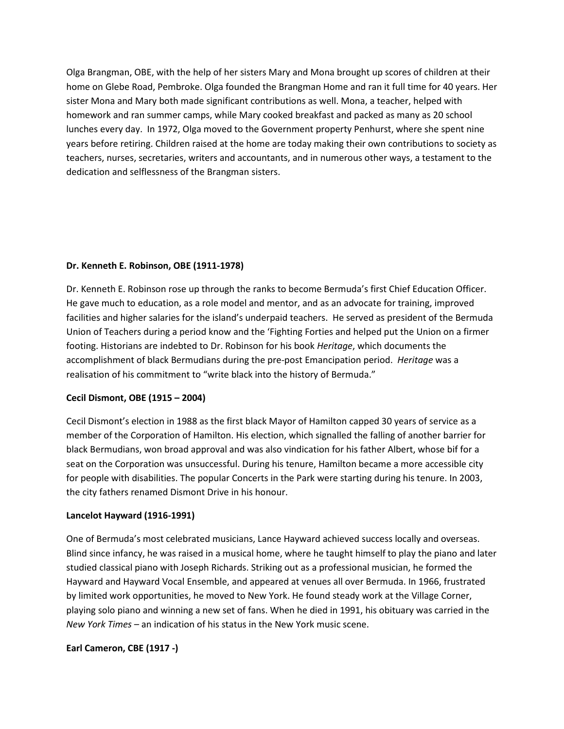Olga Brangman, OBE, with the help of her sisters Mary and Mona brought up scores of children at their home on Glebe Road, Pembroke. Olga founded the Brangman Home and ran it full time for 40 years. Her sister Mona and Mary both made significant contributions as well. Mona, a teacher, helped with homework and ran summer camps, while Mary cooked breakfast and packed as many as 20 school lunches every day. In 1972, Olga moved to the Government property Penhurst, where she spent nine years before retiring. Children raised at the home are today making their own contributions to society as teachers, nurses, secretaries, writers and accountants, and in numerous other ways, a testament to the dedication and selflessness of the Brangman sisters.

## Dr. Kenneth E. Robinson, OBE (1911-1978)

Dr. Kenneth E. Robinson rose up through the ranks to become Bermuda's first Chief Education Officer. He gave much to education, as a role model and mentor, and as an advocate for training, improved facilities and higher salaries for the island's underpaid teachers. He served as president of the Bermuda Union of Teachers during a period know and the 'Fighting Forties and helped put the Union on a firmer footing. Historians are indebted to Dr. Robinson for his book Heritage, which documents the accomplishment of black Bermudians during the pre-post Emancipation period. Heritage was a realisation of his commitment to "write black into the history of Bermuda."

## Cecil Dismont, OBE (1915 – 2004)

Cecil Dismont's election in 1988 as the first black Mayor of Hamilton capped 30 years of service as a member of the Corporation of Hamilton. His election, which signalled the falling of another barrier for black Bermudians, won broad approval and was also vindication for his father Albert, whose bif for a seat on the Corporation was unsuccessful. During his tenure, Hamilton became a more accessible city for people with disabilities. The popular Concerts in the Park were starting during his tenure. In 2003, the city fathers renamed Dismont Drive in his honour.

## Lancelot Hayward (1916-1991)

One of Bermuda's most celebrated musicians, Lance Hayward achieved success locally and overseas. Blind since infancy, he was raised in a musical home, where he taught himself to play the piano and later studied classical piano with Joseph Richards. Striking out as a professional musician, he formed the Hayward and Hayward Vocal Ensemble, and appeared at venues all over Bermuda. In 1966, frustrated by limited work opportunities, he moved to New York. He found steady work at the Village Corner, playing solo piano and winning a new set of fans. When he died in 1991, his obituary was carried in the New York Times – an indication of his status in the New York music scene.

## Earl Cameron, CBE (1917 -)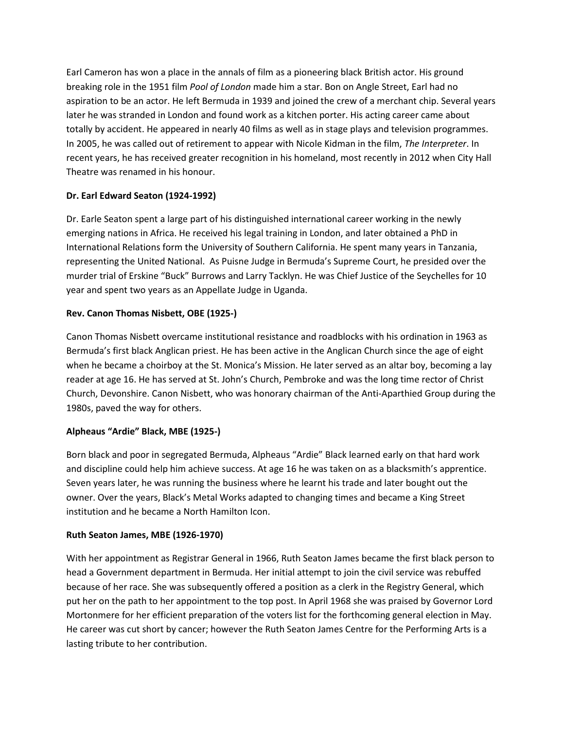Earl Cameron has won a place in the annals of film as a pioneering black British actor. His ground breaking role in the 1951 film Pool of London made him a star. Bon on Angle Street, Earl had no aspiration to be an actor. He left Bermuda in 1939 and joined the crew of a merchant chip. Several years later he was stranded in London and found work as a kitchen porter. His acting career came about totally by accident. He appeared in nearly 40 films as well as in stage plays and television programmes. In 2005, he was called out of retirement to appear with Nicole Kidman in the film, The Interpreter. In recent years, he has received greater recognition in his homeland, most recently in 2012 when City Hall Theatre was renamed in his honour.

# Dr. Earl Edward Seaton (1924-1992)

Dr. Earle Seaton spent a large part of his distinguished international career working in the newly emerging nations in Africa. He received his legal training in London, and later obtained a PhD in International Relations form the University of Southern California. He spent many years in Tanzania, representing the United National. As Puisne Judge in Bermuda's Supreme Court, he presided over the murder trial of Erskine "Buck" Burrows and Larry Tacklyn. He was Chief Justice of the Seychelles for 10 year and spent two years as an Appellate Judge in Uganda.

# Rev. Canon Thomas Nisbett, OBE (1925-)

Canon Thomas Nisbett overcame institutional resistance and roadblocks with his ordination in 1963 as Bermuda's first black Anglican priest. He has been active in the Anglican Church since the age of eight when he became a choirboy at the St. Monica's Mission. He later served as an altar boy, becoming a lay reader at age 16. He has served at St. John's Church, Pembroke and was the long time rector of Christ Church, Devonshire. Canon Nisbett, who was honorary chairman of the Anti-Aparthied Group during the 1980s, paved the way for others.

# Alpheaus "Ardie" Black, MBE (1925-)

Born black and poor in segregated Bermuda, Alpheaus "Ardie" Black learned early on that hard work and discipline could help him achieve success. At age 16 he was taken on as a blacksmith's apprentice. Seven years later, he was running the business where he learnt his trade and later bought out the owner. Over the years, Black's Metal Works adapted to changing times and became a King Street institution and he became a North Hamilton Icon.

# Ruth Seaton James, MBE (1926-1970)

With her appointment as Registrar General in 1966, Ruth Seaton James became the first black person to head a Government department in Bermuda. Her initial attempt to join the civil service was rebuffed because of her race. She was subsequently offered a position as a clerk in the Registry General, which put her on the path to her appointment to the top post. In April 1968 she was praised by Governor Lord Mortonmere for her efficient preparation of the voters list for the forthcoming general election in May. He career was cut short by cancer; however the Ruth Seaton James Centre for the Performing Arts is a lasting tribute to her contribution.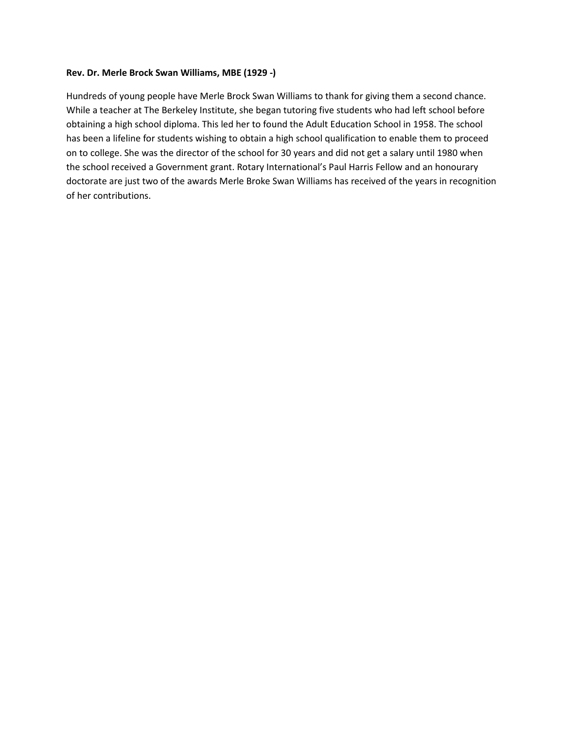#### Rev. Dr. Merle Brock Swan Williams, MBE (1929 -)

Hundreds of young people have Merle Brock Swan Williams to thank for giving them a second chance. While a teacher at The Berkeley Institute, she began tutoring five students who had left school before obtaining a high school diploma. This led her to found the Adult Education School in 1958. The school has been a lifeline for students wishing to obtain a high school qualification to enable them to proceed on to college. She was the director of the school for 30 years and did not get a salary until 1980 when the school received a Government grant. Rotary International's Paul Harris Fellow and an honourary doctorate are just two of the awards Merle Broke Swan Williams has received of the years in recognition of her contributions.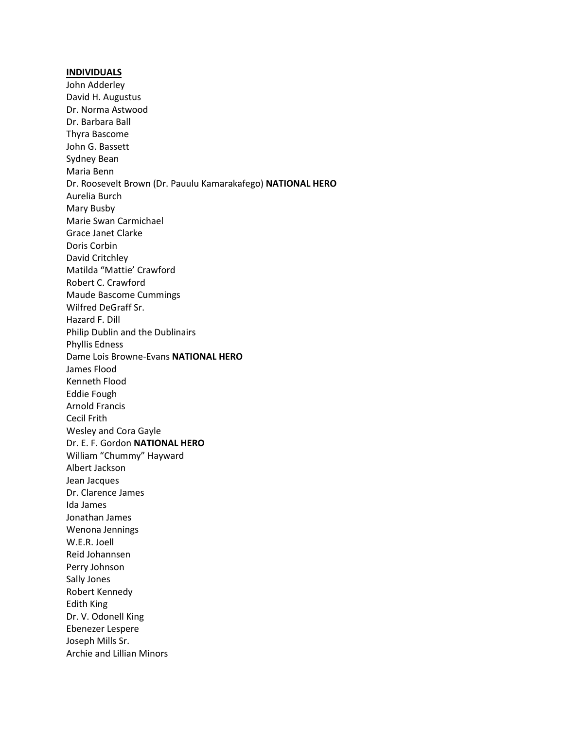#### INDIVIDUALS

John Adderley David H. Augustus Dr. Norma Astwood Dr. Barbara Ball Thyra Bascome John G. Bassett Sydney Bean Maria Benn Dr. Roosevelt Brown (Dr. Pauulu Kamarakafego) NATIONAL HERO Aurelia Burch Mary Busby Marie Swan Carmichael Grace Janet Clarke Doris Corbin David Critchley Matilda "Mattie' Crawford Robert C. Crawford Maude Bascome Cummings Wilfred DeGraff Sr. Hazard F. Dill Philip Dublin and the Dublinairs Phyllis Edness Dame Lois Browne-Evans NATIONAL HERO James Flood Kenneth Flood Eddie Fough Arnold Francis Cecil Frith Wesley and Cora Gayle Dr. E. F. Gordon NATIONAL HERO William "Chummy" Hayward Albert Jackson Jean Jacques Dr. Clarence James Ida James Jonathan James Wenona Jennings W.E.R. Joell Reid Johannsen Perry Johnson Sally Jones Robert Kennedy Edith King Dr. V. Odonell King Ebenezer Lespere Joseph Mills Sr. Archie and Lillian Minors